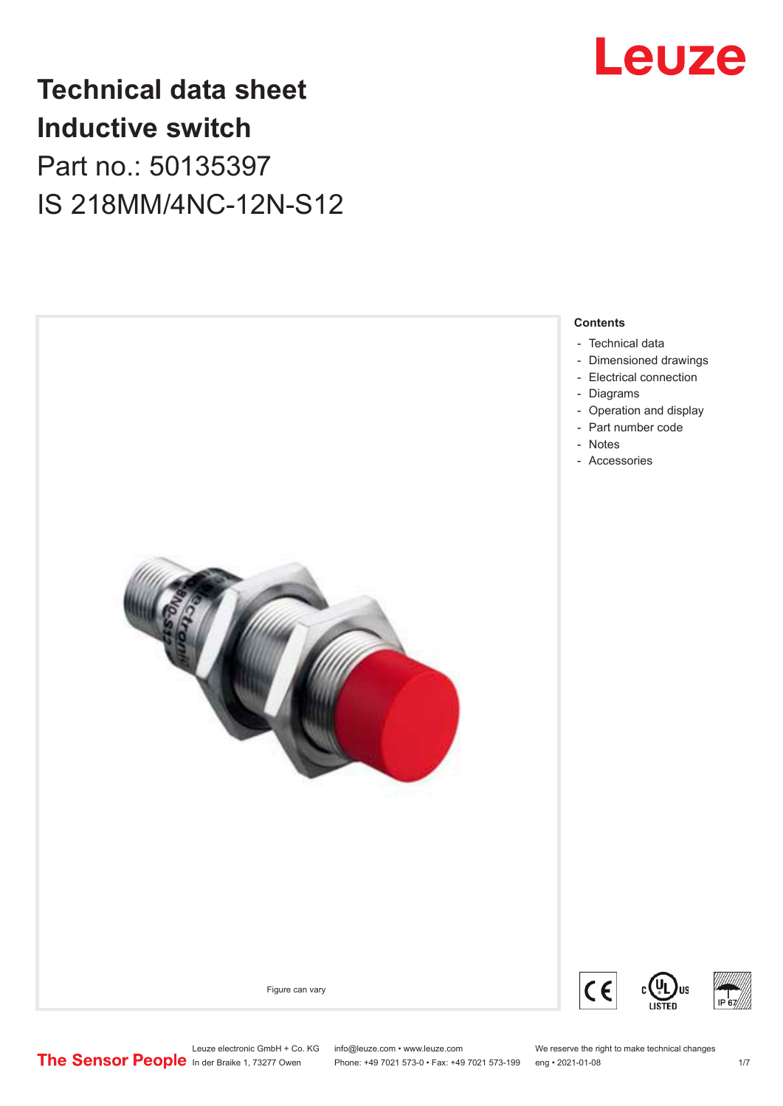

# **Technical data sheet Inductive switch** Part no.: 50135397 IS 218MM/4NC-12N-S12



US

Leuze electronic GmbH + Co. KG info@leuze.com • www.leuze.com We reserve the right to make technical changes<br>
The Sensor People in der Braike 1, 73277 Owen Phone: +49 7021 573-0 • Fax: +49 7021 573-199 eng • 2021-01-08

Phone: +49 7021 573-0 • Fax: +49 7021 573-199 eng • 2021-01-08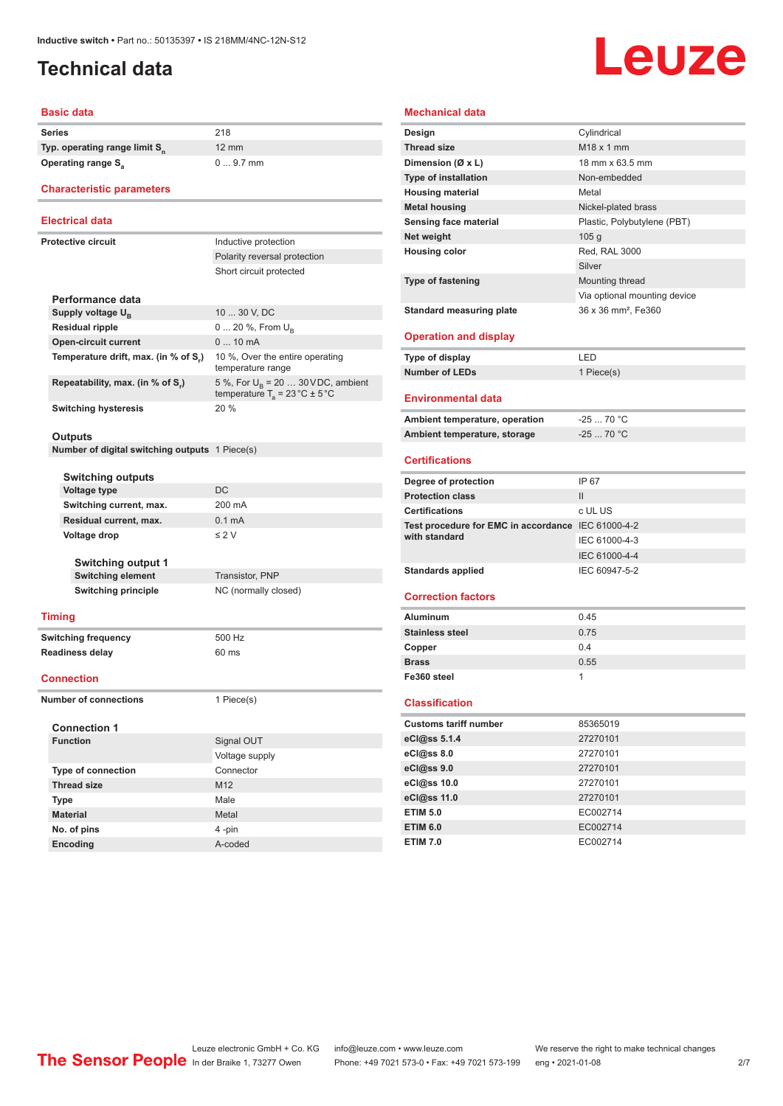# <span id="page-1-0"></span>**Technical data**

# Leuze

#### **Basic data**

| <b>Series</b>                             | 218             |
|-------------------------------------------|-----------------|
| Typ. operating range limit S <sub>n</sub> | 12 <sub>1</sub> |
| Operating range S <sub>3</sub>            |                 |

## 12 mm 0 ... 9.7 mm

### **Characteristic parameters**

### **Electrical data**

**Protective circuit** 

| otective circuit <sup>.</sup>        | Inductive protection                                                                     |
|--------------------------------------|------------------------------------------------------------------------------------------|
|                                      | Polarity reversal protection                                                             |
|                                      | Short circuit protected                                                                  |
|                                      |                                                                                          |
| Performance data                     |                                                                                          |
| Supply voltage $U_{\rm B}$           | 10  30 V, DC                                                                             |
| <b>Residual ripple</b>               | $0 20 \%$ , From $U_{\rm B}$                                                             |
| <b>Open-circuit current</b>          | $010$ mA                                                                                 |
| Temperature drift, max. (in % of S.) | 10 %, Over the entire operating<br>temperature range                                     |
| Repeatability, max. (in % of S.)     | 5 %, For $U_R$ = 20  30 VDC, ambient<br>temperature $T_a = 23 \degree C \pm 5 \degree C$ |
| <b>Switching hysteresis</b>          | 20%                                                                                      |

#### **Outputs**

**Number of digital switching outputs** 1 Piece(s)

|                            | <b>Switching outputs</b>   |                      |  |  |
|----------------------------|----------------------------|----------------------|--|--|
|                            | <b>Voltage type</b>        | DC                   |  |  |
|                            | Switching current, max.    | 200 mA               |  |  |
|                            | Residual current, max.     | $0.1 \text{ mA}$     |  |  |
|                            | Voltage drop               | $\leq$ 2 V           |  |  |
|                            | <b>Switching output 1</b>  |                      |  |  |
|                            | <b>Switching element</b>   | Transistor, PNP      |  |  |
|                            | <b>Switching principle</b> | NC (normally closed) |  |  |
| <b>Timing</b>              |                            |                      |  |  |
| <b>Switching frequency</b> |                            | 500 Hz               |  |  |

**Readiness delay** 60 ms

#### **Connection**

**Number of connections** 1 Piece(s)

#### **Connection 1**

| - -             |  |  |  |
|-----------------|--|--|--|
| Signal OUT      |  |  |  |
| Voltage supply  |  |  |  |
| Connector       |  |  |  |
| M <sub>12</sub> |  |  |  |
| Male            |  |  |  |
| Metal           |  |  |  |
| 4-pin           |  |  |  |
| A-coded         |  |  |  |
|                 |  |  |  |

| <b>Mechanical data</b>                             |                                 |  |  |  |
|----------------------------------------------------|---------------------------------|--|--|--|
| Design                                             | Cylindrical                     |  |  |  |
| <b>Thread size</b>                                 | $M18 \times 1$ mm               |  |  |  |
| Dimension (Ø x L)                                  | 18 mm x 63.5 mm                 |  |  |  |
| <b>Type of installation</b>                        | Non-embedded                    |  |  |  |
| <b>Housing material</b>                            | Metal                           |  |  |  |
| <b>Metal housing</b>                               | Nickel-plated brass             |  |  |  |
| Sensing face material                              | Plastic, Polybutylene (PBT)     |  |  |  |
| Net weight                                         | 105 <sub>g</sub>                |  |  |  |
| <b>Housing color</b>                               | Red, RAL 3000                   |  |  |  |
|                                                    | Silver                          |  |  |  |
| <b>Type of fastening</b>                           | Mounting thread                 |  |  |  |
|                                                    | Via optional mounting device    |  |  |  |
| <b>Standard measuring plate</b>                    | 36 x 36 mm <sup>2</sup> , Fe360 |  |  |  |
|                                                    |                                 |  |  |  |
| <b>Operation and display</b>                       |                                 |  |  |  |
| Type of display                                    | LED                             |  |  |  |
| <b>Number of LEDs</b>                              | 1 Piece(s)                      |  |  |  |
| <b>Environmental data</b>                          |                                 |  |  |  |
| Ambient temperature, operation                     | $-25$ 70 °C                     |  |  |  |
| Ambient temperature, storage                       | $-2570 °C$                      |  |  |  |
| <b>Certifications</b>                              |                                 |  |  |  |
| Degree of protection                               | IP 67                           |  |  |  |
| <b>Protection class</b>                            | Ш                               |  |  |  |
| <b>Certifications</b>                              | c UL US                         |  |  |  |
| Test procedure for EMC in accordance IEC 61000-4-2 |                                 |  |  |  |
| with standard                                      | IEC 61000-4-3                   |  |  |  |
|                                                    | IEC 61000-4-4                   |  |  |  |
| <b>Standards applied</b>                           | IEC 60947-5-2                   |  |  |  |
|                                                    |                                 |  |  |  |
| <b>Correction factors</b>                          |                                 |  |  |  |
| <b>Aluminum</b>                                    | 0.45                            |  |  |  |
| <b>Stainless steel</b>                             | 0.75                            |  |  |  |
| Copper                                             | 0.4                             |  |  |  |
| <b>Brass</b>                                       | 0.55                            |  |  |  |

#### **Classification**

**Fe360 steel** 1

| <b>Customs tariff number</b> | 85365019 |
|------------------------------|----------|
| eCl@ss 5.1.4                 | 27270101 |
| eCl@ss 8.0                   | 27270101 |
| eCl@ss 9.0                   | 27270101 |
| eCl@ss 10.0                  | 27270101 |
| eCl@ss 11.0                  | 27270101 |
| <b>ETIM 5.0</b>              | EC002714 |
| <b>ETIM 6.0</b>              | EC002714 |
| <b>ETIM 7.0</b>              | EC002714 |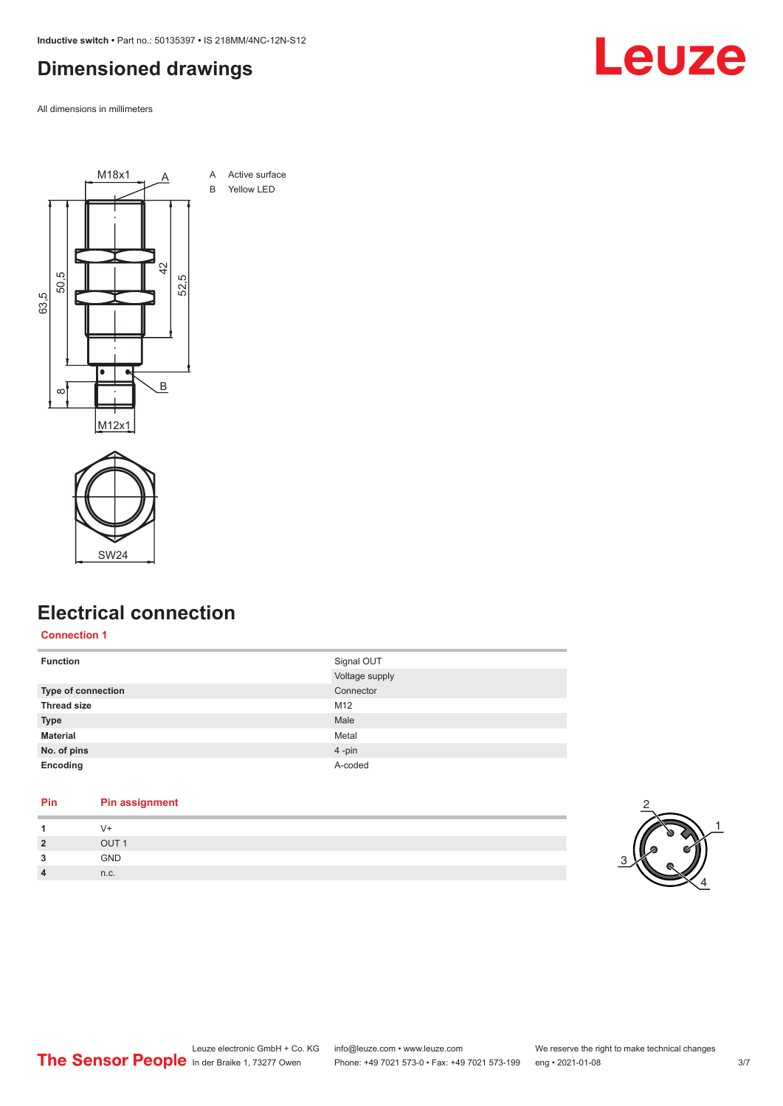<span id="page-2-0"></span>**Inductive switch •** Part no.: 50135397 **•** IS 218MM/4NC-12N-S12

# **Dimensioned drawings**

All dimensions in millimeters





# **Electrical connection**

#### **Connection 1**

| <b>Function</b>    | Signal OUT<br>Voltage supply |
|--------------------|------------------------------|
| Type of connection | Connector                    |
| <b>Thread size</b> | M12                          |
| <b>Type</b>        | Male                         |
| <b>Material</b>    | Metal                        |
| No. of pins        | 4-pin                        |
| Encoding           | A-coded                      |

### **Pin Pin assignment**

| $\overline{2}$ | $\sim$ $\sim$ $\sim$ |  |
|----------------|----------------------|--|
| $\sim$<br>۰J   | <b>GND</b>           |  |
| 4              | n.c.                 |  |



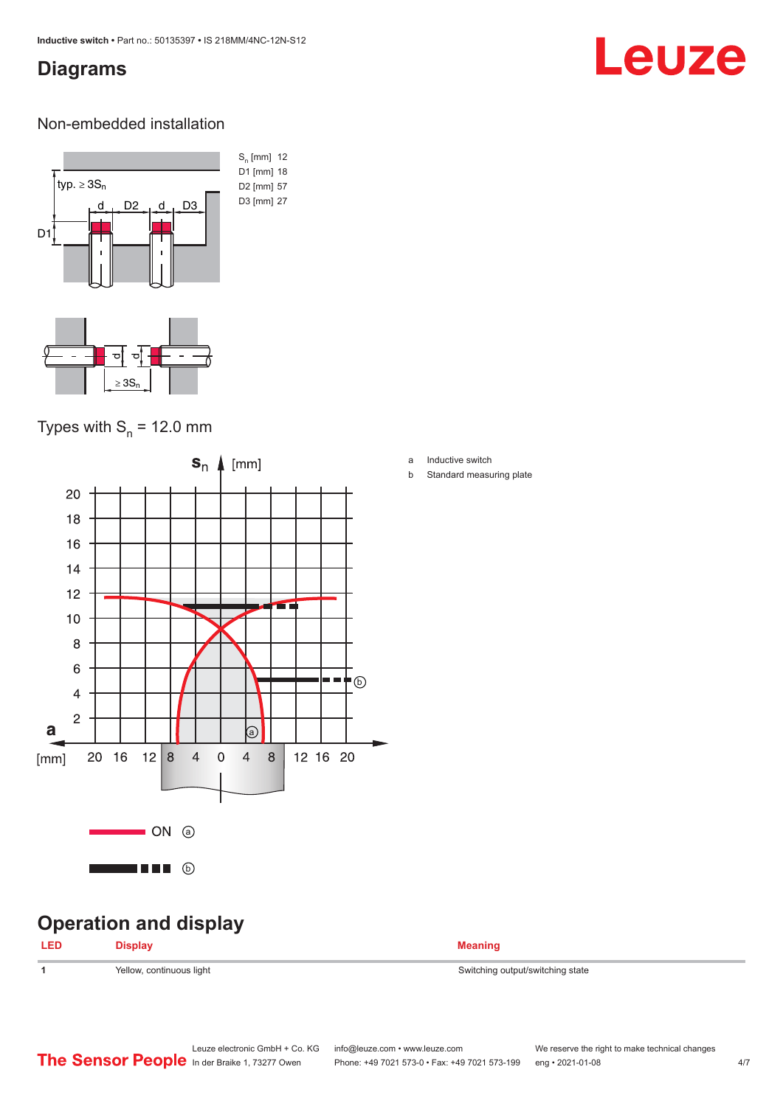# <span id="page-3-0"></span>**Diagrams**

# Leuze

### Non-embedded installation



# Types with  $S_n$  = 12.0 mm



# **Operation and display**

| <b>LED</b> | <b>Display</b>           | <b>Meaning</b>                   |
|------------|--------------------------|----------------------------------|
|            | Yellow, continuous light | Switching output/switching state |

- a Inductive switch
- b Standard measuring plate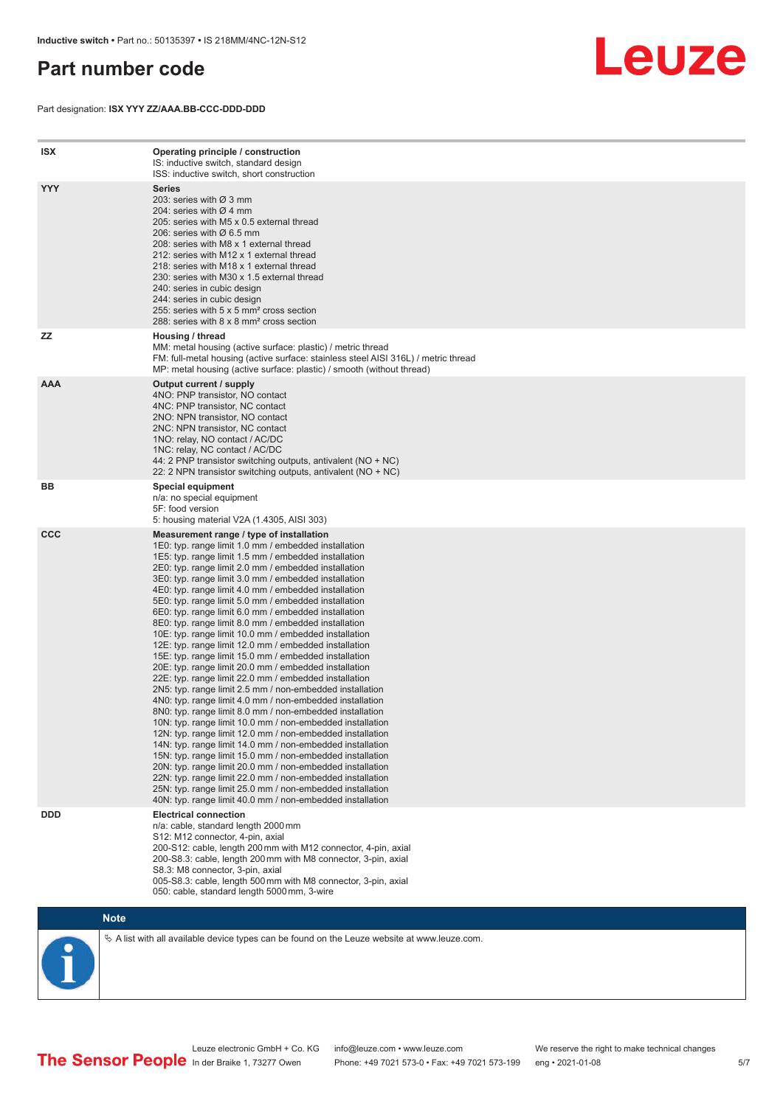# <span id="page-4-0"></span>**Part number code**

Part designation: **ISX YYY ZZ/AAA.BB-CCC-DDD-DDD**



| <b>ISX</b> | Operating principle / construction<br>IS: inductive switch, standard design<br>ISS: inductive switch, short construction                                                                                                                                                                                                                                                                                                                                                                                                                                                                                                                                                                                                                                                                                                                                                                                                                                                                                                                                                                                                                                                                                                                                                                                                                                                                                                                                                                          |
|------------|---------------------------------------------------------------------------------------------------------------------------------------------------------------------------------------------------------------------------------------------------------------------------------------------------------------------------------------------------------------------------------------------------------------------------------------------------------------------------------------------------------------------------------------------------------------------------------------------------------------------------------------------------------------------------------------------------------------------------------------------------------------------------------------------------------------------------------------------------------------------------------------------------------------------------------------------------------------------------------------------------------------------------------------------------------------------------------------------------------------------------------------------------------------------------------------------------------------------------------------------------------------------------------------------------------------------------------------------------------------------------------------------------------------------------------------------------------------------------------------------------|
| <b>YYY</b> | <b>Series</b><br>203: series with Ø 3 mm<br>204: series with $\varnothing$ 4 mm<br>205: series with M5 x 0.5 external thread<br>206: series with $\varnothing$ 6.5 mm<br>208: series with M8 x 1 external thread<br>212: series with M12 x 1 external thread<br>218: series with M18 x 1 external thread<br>230: series with M30 x 1.5 external thread<br>240: series in cubic design<br>244: series in cubic design<br>255: series with 5 x 5 mm <sup>2</sup> cross section<br>288: series with 8 x 8 mm <sup>2</sup> cross section                                                                                                                                                                                                                                                                                                                                                                                                                                                                                                                                                                                                                                                                                                                                                                                                                                                                                                                                                              |
| ZZ         | Housing / thread<br>MM: metal housing (active surface: plastic) / metric thread<br>FM: full-metal housing (active surface: stainless steel AISI 316L) / metric thread<br>MP: metal housing (active surface: plastic) / smooth (without thread)                                                                                                                                                                                                                                                                                                                                                                                                                                                                                                                                                                                                                                                                                                                                                                                                                                                                                                                                                                                                                                                                                                                                                                                                                                                    |
| <b>AAA</b> | Output current / supply<br>4NO: PNP transistor, NO contact<br>4NC: PNP transistor, NC contact<br>2NO: NPN transistor, NO contact<br>2NC: NPN transistor, NC contact<br>1NO: relay, NO contact / AC/DC<br>1NC: relay, NC contact / AC/DC<br>44: 2 PNP transistor switching outputs, antivalent (NO + NC)<br>22: 2 NPN transistor switching outputs, antivalent (NO + NC)                                                                                                                                                                                                                                                                                                                                                                                                                                                                                                                                                                                                                                                                                                                                                                                                                                                                                                                                                                                                                                                                                                                           |
| ВB         | <b>Special equipment</b><br>n/a: no special equipment<br>5F: food version<br>5: housing material V2A (1.4305, AISI 303)                                                                                                                                                                                                                                                                                                                                                                                                                                                                                                                                                                                                                                                                                                                                                                                                                                                                                                                                                                                                                                                                                                                                                                                                                                                                                                                                                                           |
| <b>CCC</b> | Measurement range / type of installation<br>1E0: typ. range limit 1.0 mm / embedded installation<br>1E5: typ. range limit 1.5 mm / embedded installation<br>2E0: typ. range limit 2.0 mm / embedded installation<br>3E0: typ. range limit 3.0 mm / embedded installation<br>4E0: typ. range limit 4.0 mm / embedded installation<br>5E0: typ. range limit 5.0 mm / embedded installation<br>6E0: typ. range limit 6.0 mm / embedded installation<br>8E0: typ. range limit 8.0 mm / embedded installation<br>10E: typ. range limit 10.0 mm / embedded installation<br>12E: typ. range limit 12.0 mm / embedded installation<br>15E: typ. range limit 15.0 mm / embedded installation<br>20E: typ. range limit 20.0 mm / embedded installation<br>22E: typ. range limit 22.0 mm / embedded installation<br>2N5: typ. range limit 2.5 mm / non-embedded installation<br>4N0: typ. range limit 4.0 mm / non-embedded installation<br>8N0: typ. range limit 8.0 mm / non-embedded installation<br>10N: typ. range limit 10.0 mm / non-embedded installation<br>12N: typ. range limit 12.0 mm / non-embedded installation<br>14N: typ. range limit 14.0 mm / non-embedded installation<br>15N: typ. range limit 15.0 mm / non-embedded installation<br>20N: typ. range limit 20.0 mm / non-embedded installation<br>22N: typ. range limit 22.0 mm / non-embedded installation<br>25N: typ. range limit 25.0 mm / non-embedded installation<br>40N: typ. range limit 40.0 mm / non-embedded installation |
| <b>DDD</b> | <b>Electrical connection</b><br>n/a: cable, standard length 2000 mm<br>S12: M12 connector, 4-pin, axial<br>200-S12: cable, length 200 mm with M12 connector, 4-pin, axial<br>200-S8.3: cable, length 200 mm with M8 connector, 3-pin, axial<br>S8.3: M8 connector, 3-pin, axial<br>005-S8.3: cable, length 500 mm with M8 connector, 3-pin, axial<br>050: cable, standard length 5000 mm, 3-wire                                                                                                                                                                                                                                                                                                                                                                                                                                                                                                                                                                                                                                                                                                                                                                                                                                                                                                                                                                                                                                                                                                  |

**Note**

 $\%$  A list with all available device types can be found on the Leuze website at www.leuze.com.

Leuze electronic GmbH + Co. KG info@leuze.com • www.leuze.com We reserve the right to make technical changes In der Braike 1, 73277 Owen Phone: +49 7021 573-0 • Fax: +49 7021 573-199 eng • 2021-01-08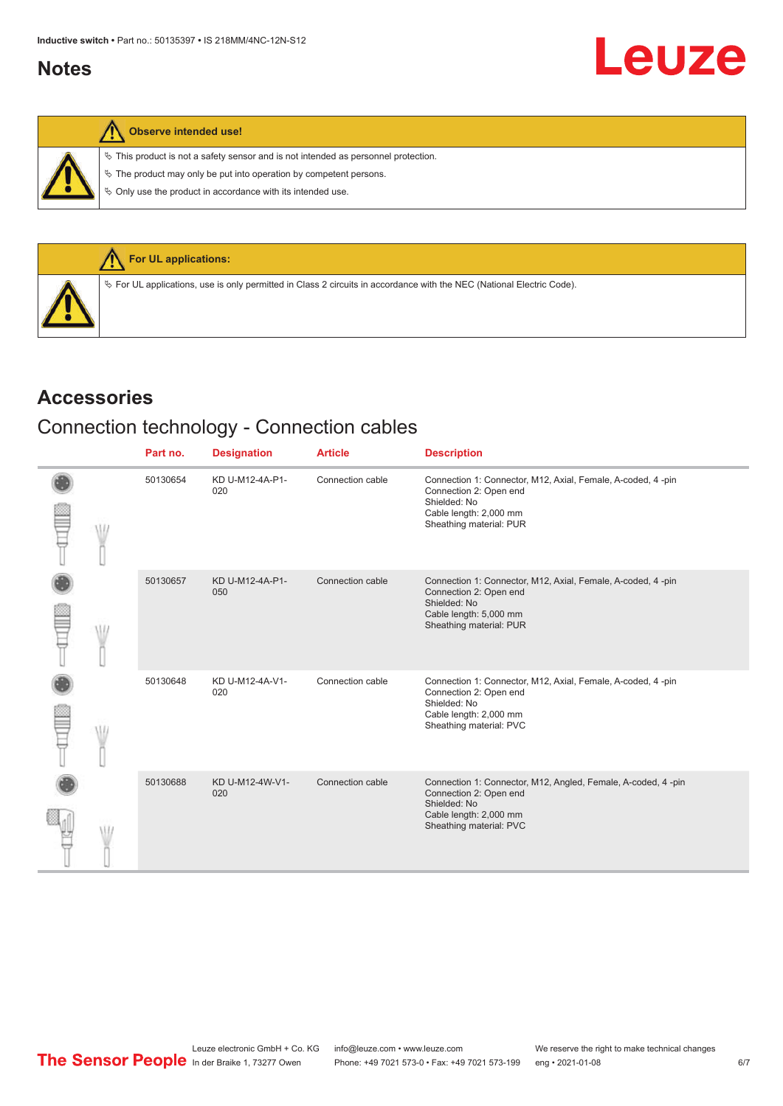# <span id="page-5-0"></span>**Notes**

 $\%$  This product is not a safety sensor and is not intended as personnel protection.

 $\&$  The product may only be put into operation by competent persons.

 $\%$  Only use the product in accordance with its intended use.



# **Accessories**

# Connection technology - Connection cables

|  | Part no. | <b>Designation</b>     | <b>Article</b>   | <b>Description</b>                                                                                                                                           |
|--|----------|------------------------|------------------|--------------------------------------------------------------------------------------------------------------------------------------------------------------|
|  | 50130654 | KD U-M12-4A-P1-<br>020 | Connection cable | Connection 1: Connector, M12, Axial, Female, A-coded, 4 -pin<br>Connection 2: Open end<br>Shielded: No<br>Cable length: 2,000 mm<br>Sheathing material: PUR  |
|  | 50130657 | KD U-M12-4A-P1-<br>050 | Connection cable | Connection 1: Connector, M12, Axial, Female, A-coded, 4-pin<br>Connection 2: Open end<br>Shielded: No<br>Cable length: 5,000 mm<br>Sheathing material: PUR   |
|  | 50130648 | KD U-M12-4A-V1-<br>020 | Connection cable | Connection 1: Connector, M12, Axial, Female, A-coded, 4-pin<br>Connection 2: Open end<br>Shielded: No<br>Cable length: 2,000 mm<br>Sheathing material: PVC   |
|  | 50130688 | KD U-M12-4W-V1-<br>020 | Connection cable | Connection 1: Connector, M12, Angled, Female, A-coded, 4 -pin<br>Connection 2: Open end<br>Shielded: No<br>Cable length: 2,000 mm<br>Sheathing material: PVC |

Leuze